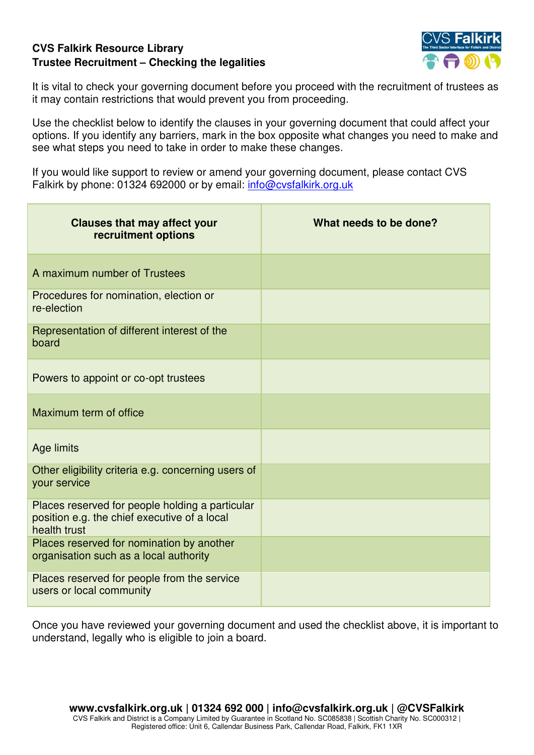## **CVS Falkirk Resource Library Trustee Recruitment – Checking the legalities**



It is vital to check your governing document before you proceed with the recruitment of trustees as it may contain restrictions that would prevent you from proceeding.

Use the checklist below to identify the clauses in your governing document that could affect your options. If you identify any barriers, mark in the box opposite what changes you need to make and see what steps you need to take in order to make these changes.

If you would like support to review or amend your governing document, please contact CVS Falkirk by phone: 01324 692000 or by email: [info@cvsfalkirk.org.uk](mailto:info@cvsfalkirk.org.uk) 

| <b>Clauses that may affect your</b><br>recruitment options                                                      | What needs to be done? |
|-----------------------------------------------------------------------------------------------------------------|------------------------|
| A maximum number of Trustees                                                                                    |                        |
| Procedures for nomination, election or<br>re-election                                                           |                        |
| Representation of different interest of the<br>board                                                            |                        |
| Powers to appoint or co-opt trustees                                                                            |                        |
| Maximum term of office                                                                                          |                        |
| Age limits                                                                                                      |                        |
| Other eligibility criteria e.g. concerning users of<br>your service                                             |                        |
| Places reserved for people holding a particular<br>position e.g. the chief executive of a local<br>health trust |                        |
| Places reserved for nomination by another<br>organisation such as a local authority                             |                        |
| Places reserved for people from the service<br>users or local community                                         |                        |

Once you have reviewed your governing document and used the checklist above, it is important to understand, legally who is eligible to join a board.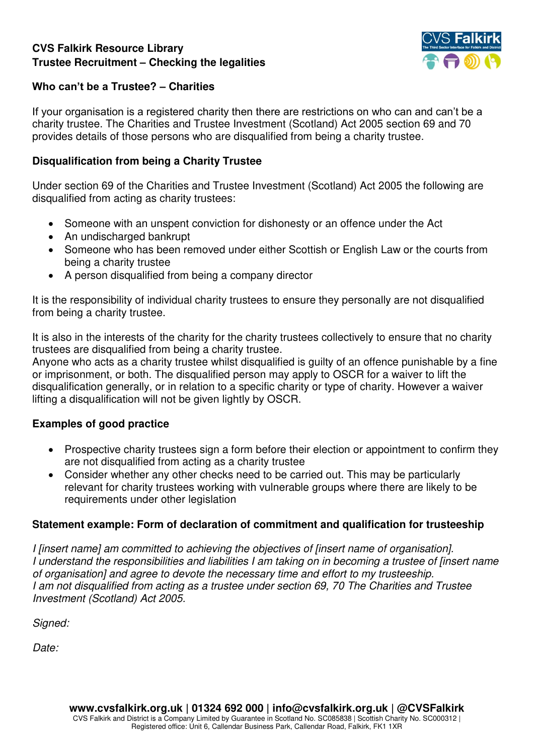## **CVS Falkirk Resource Library Trustee Recruitment – Checking the legalities**



#### **Who can't be a Trustee? – Charities**

If your organisation is a registered charity then there are restrictions on who can and can't be a charity trustee. The Charities and Trustee Investment (Scotland) Act 2005 section 69 and 70 provides details of those persons who are disqualified from being a charity trustee.

#### **Disqualification from being a Charity Trustee**

Under section 69 of the Charities and Trustee Investment (Scotland) Act 2005 the following are disqualified from acting as charity trustees:

- Someone with an unspent conviction for dishonesty or an offence under the Act
- An undischarged bankrupt
- Someone who has been removed under either Scottish or English Law or the courts from being a charity trustee
- A person disqualified from being a company director

It is the responsibility of individual charity trustees to ensure they personally are not disqualified from being a charity trustee.

It is also in the interests of the charity for the charity trustees collectively to ensure that no charity trustees are disqualified from being a charity trustee.

Anyone who acts as a charity trustee whilst disqualified is guilty of an offence punishable by a fine or imprisonment, or both. The disqualified person may apply to OSCR for a waiver to lift the disqualification generally, or in relation to a specific charity or type of charity. However a waiver lifting a disqualification will not be given lightly by OSCR.

#### **Examples of good practice**

- Prospective charity trustees sign a form before their election or appointment to confirm they are not disqualified from acting as a charity trustee
- Consider whether any other checks need to be carried out. This may be particularly relevant for charity trustees working with vulnerable groups where there are likely to be requirements under other legislation

#### **Statement example: Form of declaration of commitment and qualification for trusteeship**

*I [insert name] am committed to achieving the objectives of [insert name of organisation]. I understand the responsibilities and liabilities I am taking on in becoming a trustee of [insert name of organisation] and agree to devote the necessary time and effort to my trusteeship. I am not disqualified from acting as a trustee under section 69, 70 The Charities and Trustee Investment (Scotland) Act 2005.* 

*Signed:* 

*Date:*